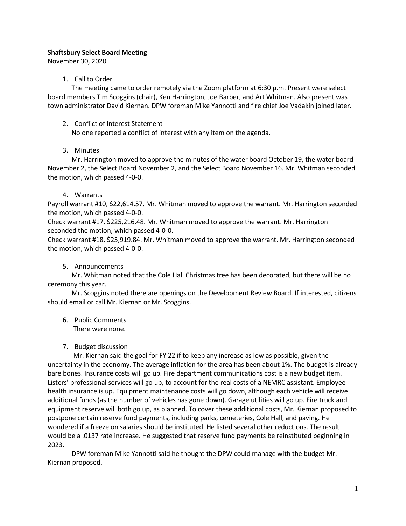# Shaftsbury Select Board Meeting

November 30, 2020

## 1. Call to Order

The meeting came to order remotely via the Zoom platform at 6:30 p.m. Present were select board members Tim Scoggins (chair), Ken Harrington, Joe Barber, and Art Whitman. Also present was town administrator David Kiernan. DPW foreman Mike Yannotti and fire chief Joe Vadakin joined later.

## 2. Conflict of Interest Statement

No one reported a conflict of interest with any item on the agenda.

## 3. Minutes

Mr. Harrington moved to approve the minutes of the water board October 19, the water board November 2, the Select Board November 2, and the Select Board November 16. Mr. Whitman seconded the motion, which passed 4-0-0.

# 4. Warrants

Payroll warrant #10, \$22,614.57. Mr. Whitman moved to approve the warrant. Mr. Harrington seconded the motion, which passed 4-0-0.

Check warrant #17, \$225,216.48. Mr. Whitman moved to approve the warrant. Mr. Harrington seconded the motion, which passed 4-0-0.

Check warrant #18, \$25,919.84. Mr. Whitman moved to approve the warrant. Mr. Harrington seconded the motion, which passed 4-0-0.

## 5. Announcements

Mr. Whitman noted that the Cole Hall Christmas tree has been decorated, but there will be no ceremony this year.

Mr. Scoggins noted there are openings on the Development Review Board. If interested, citizens should email or call Mr. Kiernan or Mr. Scoggins.

6. Public Comments There were none.

## 7. Budget discussion

Mr. Kiernan said the goal for FY 22 if to keep any increase as low as possible, given the uncertainty in the economy. The average inflation for the area has been about 1%. The budget is already bare bones. Insurance costs will go up. Fire department communications cost is a new budget item. Listers' professional services will go up, to account for the real costs of a NEMRC assistant. Employee health insurance is up. Equipment maintenance costs will go down, although each vehicle will receive additional funds (as the number of vehicles has gone down). Garage utilities will go up. Fire truck and equipment reserve will both go up, as planned. To cover these additional costs, Mr. Kiernan proposed to postpone certain reserve fund payments, including parks, cemeteries, Cole Hall, and paving. He wondered if a freeze on salaries should be instituted. He listed several other reductions. The result would be a .0137 rate increase. He suggested that reserve fund payments be reinstituted beginning in 2023.

DPW foreman Mike Yannotti said he thought the DPW could manage with the budget Mr. Kiernan proposed.